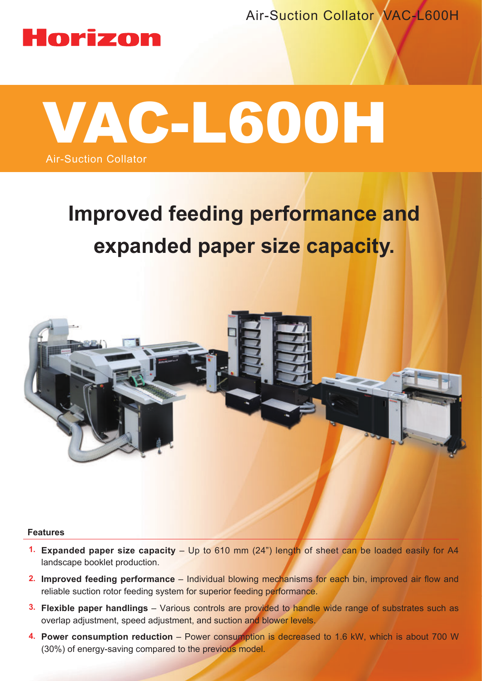Air-Suction Collator VAC-L600H

## Horizon



# **Improved feeding performance and expanded paper size capacity.**



#### **Features**

- **1. Expanded paper size capacity** Up to 610 mm (24") length of sheet can be loaded easily for A4 landscape booklet production.
- **2. Improved feeding performance Individual blowing mechanisms for each bin, improved air flow and** reliable suction rotor feeding system for superior feeding performance.
- **3. Flexible paper handlings** Various controls are provided to handle wide range of substrates such as overlap adjustment, speed adjustment, and suction and blower levels.
- **4. Power consumption reduction**  Power consumption is decreased to 1.6 kW, which is about 700 W (30%) of energy-saving compared to the previous model.